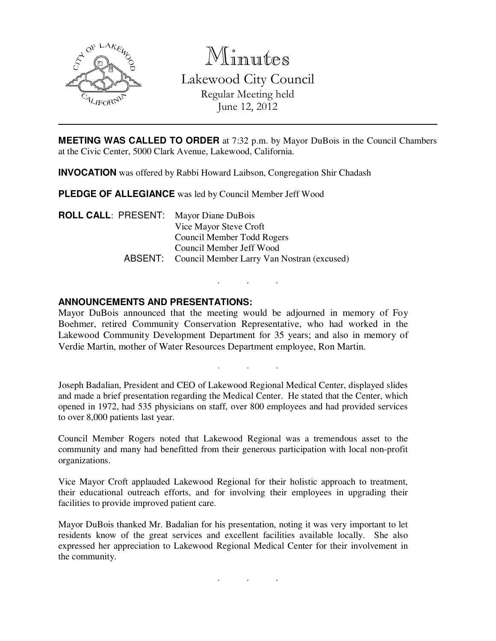

Minutes

Lakewood City Council Regular Meeting held June 12, 2012

**MEETING WAS CALLED TO ORDER** at 7:32 p.m. by Mayor DuBois in the Council Chambers at the Civic Center, 5000 Clark Avenue, Lakewood, California.

**INVOCATION** was offered by Rabbi Howard Laibson, Congregation Shir Chadash

**PLEDGE OF ALLEGIANCE** was led by Council Member Jeff Wood

**ROLL CALL**: PRESENT: Mayor Diane DuBois Vice Mayor Steve Croft Council Member Todd Rogers Council Member Jeff Wood ABSENT: Council Member Larry Van Nostran (excused)

### **ANNOUNCEMENTS AND PRESENTATIONS:**

Mayor DuBois announced that the meeting would be adjourned in memory of Foy Boehmer, retired Community Conservation Representative, who had worked in the Lakewood Community Development Department for 35 years; and also in memory of Verdie Martin, mother of Water Resources Department employee, Ron Martin.

. . .

. . .

Joseph Badalian, President and CEO of Lakewood Regional Medical Center, displayed slides and made a brief presentation regarding the Medical Center. He stated that the Center, which opened in 1972, had 535 physicians on staff, over 800 employees and had provided services to over 8,000 patients last year.

Council Member Rogers noted that Lakewood Regional was a tremendous asset to the community and many had benefitted from their generous participation with local non-profit organizations.

Vice Mayor Croft applauded Lakewood Regional for their holistic approach to treatment, their educational outreach efforts, and for involving their employees in upgrading their facilities to provide improved patient care.

Mayor DuBois thanked Mr. Badalian for his presentation, noting it was very important to let residents know of the great services and excellent facilities available locally. She also expressed her appreciation to Lakewood Regional Medical Center for their involvement in the community.

. . .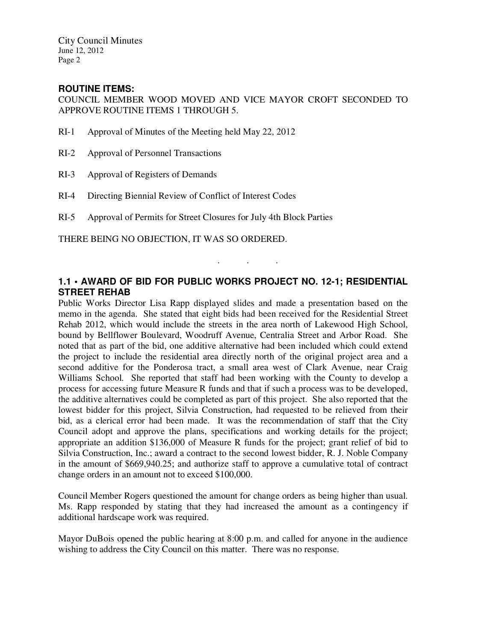### **ROUTINE ITEMS:**

COUNCIL MEMBER WOOD MOVED AND VICE MAYOR CROFT SECONDED TO APPROVE ROUTINE ITEMS 1 THROUGH 5.

- RI-1 Approval of Minutes of the Meeting held May 22, 2012
- RI-2 Approval of Personnel Transactions
- RI-3 Approval of Registers of Demands
- RI-4 Directing Biennial Review of Conflict of Interest Codes
- RI-5 Approval of Permits for Street Closures for July 4th Block Parties

THERE BEING NO OBJECTION, IT WAS SO ORDERED.

# **1.1 • AWARD OF BID FOR PUBLIC WORKS PROJECT NO. 12-1; RESIDENTIAL STREET REHAB**

. . .

Public Works Director Lisa Rapp displayed slides and made a presentation based on the memo in the agenda. She stated that eight bids had been received for the Residential Street Rehab 2012, which would include the streets in the area north of Lakewood High School, bound by Bellflower Boulevard, Woodruff Avenue, Centralia Street and Arbor Road. She noted that as part of the bid, one additive alternative had been included which could extend the project to include the residential area directly north of the original project area and a second additive for the Ponderosa tract, a small area west of Clark Avenue, near Craig Williams School. She reported that staff had been working with the County to develop a process for accessing future Measure R funds and that if such a process was to be developed, the additive alternatives could be completed as part of this project. She also reported that the lowest bidder for this project, Silvia Construction, had requested to be relieved from their bid, as a clerical error had been made. It was the recommendation of staff that the City Council adopt and approve the plans, specifications and working details for the project; appropriate an addition \$136,000 of Measure R funds for the project; grant relief of bid to Silvia Construction, Inc.; award a contract to the second lowest bidder, R. J. Noble Company in the amount of \$669,940.25; and authorize staff to approve a cumulative total of contract change orders in an amount not to exceed \$100,000.

Council Member Rogers questioned the amount for change orders as being higher than usual. Ms. Rapp responded by stating that they had increased the amount as a contingency if additional hardscape work was required.

Mayor DuBois opened the public hearing at 8:00 p.m. and called for anyone in the audience wishing to address the City Council on this matter. There was no response.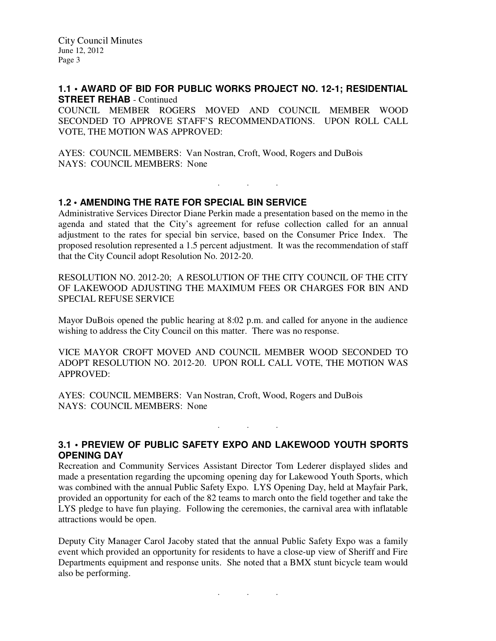#### **1.1 • AWARD OF BID FOR PUBLIC WORKS PROJECT NO. 12-1; RESIDENTIAL STREET REHAB** - Continued

COUNCIL MEMBER ROGERS MOVED AND COUNCIL MEMBER WOOD SECONDED TO APPROVE STAFF'S RECOMMENDATIONS. UPON ROLL CALL VOTE, THE MOTION WAS APPROVED:

AYES: COUNCIL MEMBERS: Van Nostran, Croft, Wood, Rogers and DuBois NAYS: COUNCIL MEMBERS: None

#### **1.2 • AMENDING THE RATE FOR SPECIAL BIN SERVICE**

Administrative Services Director Diane Perkin made a presentation based on the memo in the agenda and stated that the City's agreement for refuse collection called for an annual adjustment to the rates for special bin service, based on the Consumer Price Index. The proposed resolution represented a 1.5 percent adjustment. It was the recommendation of staff that the City Council adopt Resolution No. 2012-20.

. . .

RESOLUTION NO. 2012-20; A RESOLUTION OF THE CITY COUNCIL OF THE CITY OF LAKEWOOD ADJUSTING THE MAXIMUM FEES OR CHARGES FOR BIN AND SPECIAL REFUSE SERVICE

Mayor DuBois opened the public hearing at 8:02 p.m. and called for anyone in the audience wishing to address the City Council on this matter. There was no response.

VICE MAYOR CROFT MOVED AND COUNCIL MEMBER WOOD SECONDED TO ADOPT RESOLUTION NO. 2012-20. UPON ROLL CALL VOTE, THE MOTION WAS APPROVED:

AYES: COUNCIL MEMBERS: Van Nostran, Croft, Wood, Rogers and DuBois NAYS: COUNCIL MEMBERS: None

# **3.1 • PREVIEW OF PUBLIC SAFETY EXPO AND LAKEWOOD YOUTH SPORTS OPENING DAY**

. . .

Recreation and Community Services Assistant Director Tom Lederer displayed slides and made a presentation regarding the upcoming opening day for Lakewood Youth Sports, which was combined with the annual Public Safety Expo. LYS Opening Day, held at Mayfair Park, provided an opportunity for each of the 82 teams to march onto the field together and take the LYS pledge to have fun playing. Following the ceremonies, the carnival area with inflatable attractions would be open.

Deputy City Manager Carol Jacoby stated that the annual Public Safety Expo was a family event which provided an opportunity for residents to have a close-up view of Sheriff and Fire Departments equipment and response units. She noted that a BMX stunt bicycle team would also be performing.

. . .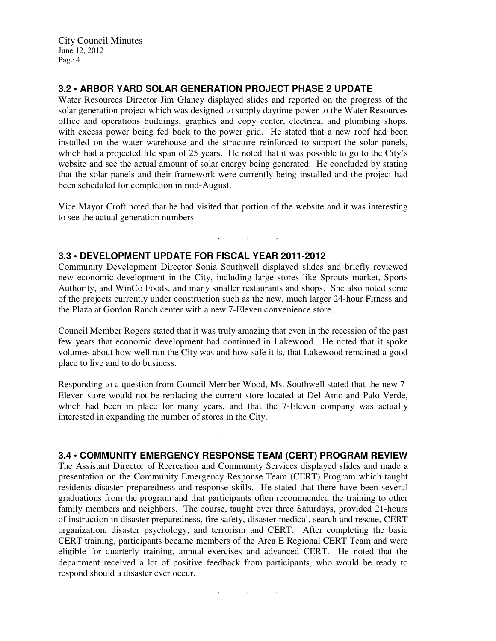# **3.2 • ARBOR YARD SOLAR GENERATION PROJECT PHASE 2 UPDATE**

Water Resources Director Jim Glancy displayed slides and reported on the progress of the solar generation project which was designed to supply daytime power to the Water Resources office and operations buildings, graphics and copy center, electrical and plumbing shops, with excess power being fed back to the power grid. He stated that a new roof had been installed on the water warehouse and the structure reinforced to support the solar panels, which had a projected life span of 25 years. He noted that it was possible to go to the City's website and see the actual amount of solar energy being generated. He concluded by stating that the solar panels and their framework were currently being installed and the project had been scheduled for completion in mid-August.

Vice Mayor Croft noted that he had visited that portion of the website and it was interesting to see the actual generation numbers.

. . .

### **3.3 • DEVELOPMENT UPDATE FOR FISCAL YEAR 2011-2012**

Community Development Director Sonia Southwell displayed slides and briefly reviewed new economic development in the City, including large stores like Sprouts market, Sports Authority, and WinCo Foods, and many smaller restaurants and shops. She also noted some of the projects currently under construction such as the new, much larger 24-hour Fitness and the Plaza at Gordon Ranch center with a new 7-Eleven convenience store.

Council Member Rogers stated that it was truly amazing that even in the recession of the past few years that economic development had continued in Lakewood. He noted that it spoke volumes about how well run the City was and how safe it is, that Lakewood remained a good place to live and to do business.

Responding to a question from Council Member Wood, Ms. Southwell stated that the new 7- Eleven store would not be replacing the current store located at Del Amo and Palo Verde, which had been in place for many years, and that the 7-Eleven company was actually interested in expanding the number of stores in the City.

### **3.4 • COMMUNITY EMERGENCY RESPONSE TEAM (CERT) PROGRAM REVIEW**

. . .

The Assistant Director of Recreation and Community Services displayed slides and made a presentation on the Community Emergency Response Team (CERT) Program which taught residents disaster preparedness and response skills. He stated that there have been several graduations from the program and that participants often recommended the training to other family members and neighbors. The course, taught over three Saturdays, provided 21-hours of instruction in disaster preparedness, fire safety, disaster medical, search and rescue, CERT organization, disaster psychology, and terrorism and CERT. After completing the basic CERT training, participants became members of the Area E Regional CERT Team and were eligible for quarterly training, annual exercises and advanced CERT. He noted that the department received a lot of positive feedback from participants, who would be ready to respond should a disaster ever occur.

. . .